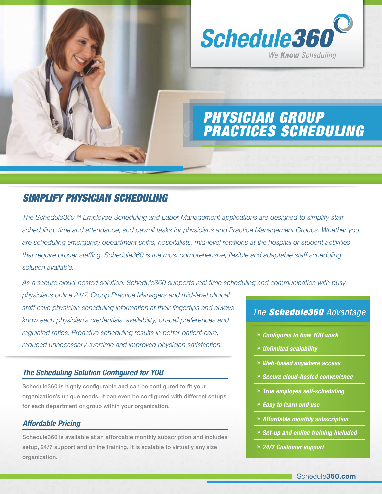

# *Simplify Physician Scheduling*

*The Schedule360™ Employee Scheduling and Labor Management applications are designed to simplify staff scheduling, time and attendance, and payroll tasks for physicians and Practice Management Groups. Whether you are scheduling emergency department shifts, hospitalists, mid-level rotations at the hospital or student activities that require proper staffing, Schedule360 is the most comprehensive, flexible and adaptable staff scheduling solution available.* 

*As a secure cloud-hosted solution, Schedule360 supports real-time scheduling and communication with busy* 

*physicians online 24/7. Group Practice Managers and mid-level clinical staff have physician scheduling information at their fingertips and always know each physician's credentials, availability, on-call preferences and regulated ratios. Proactive scheduling results in better patient care, reduced unnecessary overtime and improved physician satisfaction.*

## *The Scheduling Solution Configured for YOU*

Schedule360 is highly configurable and can be configured to fit your organization's unique needs. It can even be configured with different setups for each department or group within your organization.

## *Affordable Pricing*

Schedule360 is available at an affordable monthly subscription and includes setup, 24/7 support and online training. It is scalable to virtually any size organization.

# *The Schedule360 Advantage*

- » *Configures to how YOU work*
- » *Unlimited scalability*
- » *Web-based anywhere access*
- » *Secure cloud-hosted convenience*
- » *True employee self-scheduling*
- » *Easy to learn and use*
- » *Affordable monthly subscription*
- » *Set-up and online training included*
- » *24/7 Customer support*